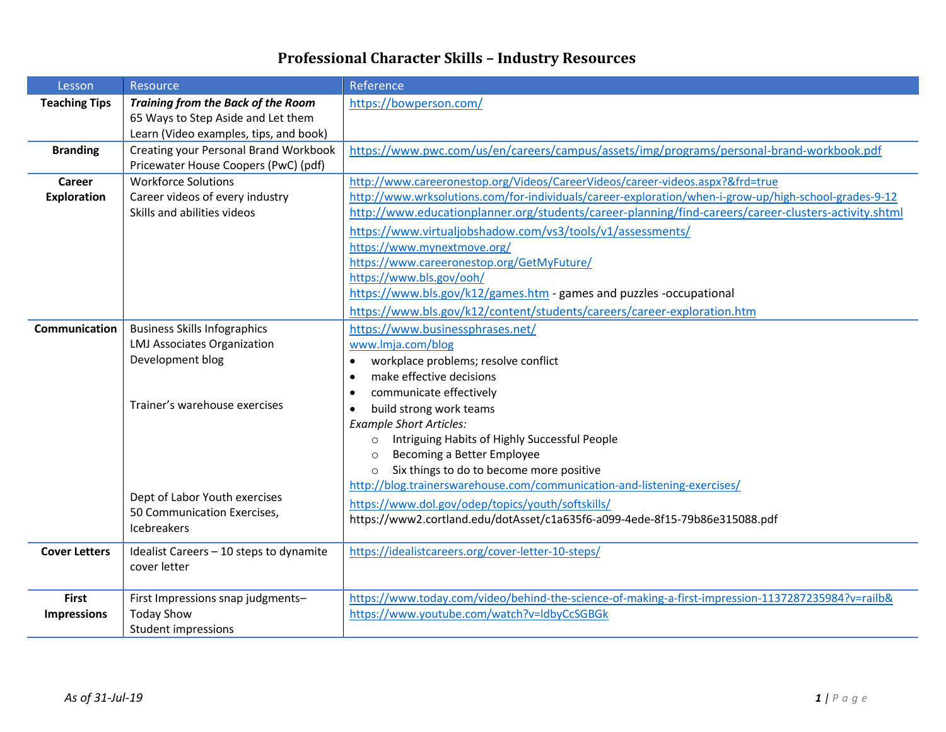## **Professional Character Skills – Industry Resources**

| Lesson               | Resource                                  | Reference                                                                                             |
|----------------------|-------------------------------------------|-------------------------------------------------------------------------------------------------------|
| <b>Teaching Tips</b> | <b>Training from the Back of the Room</b> | https://bowperson.com/                                                                                |
|                      | 65 Ways to Step Aside and Let them        |                                                                                                       |
|                      | Learn (Video examples, tips, and book)    |                                                                                                       |
| <b>Branding</b>      | Creating your Personal Brand Workbook     | https://www.pwc.com/us/en/careers/campus/assets/img/programs/personal-brand-workbook.pdf              |
|                      | Pricewater House Coopers (PwC) (pdf)      |                                                                                                       |
| Career               | <b>Workforce Solutions</b>                | http://www.careeronestop.org/Videos/CareerVideos/career-videos.aspx?&frd=true                         |
| <b>Exploration</b>   | Career videos of every industry           | http://www.wrksolutions.com/for-individuals/career-exploration/when-i-grow-up/high-school-grades-9-12 |
|                      | Skills and abilities videos               | http://www.educationplanner.org/students/career-planning/find-careers/career-clusters-activity.shtml  |
|                      |                                           | https://www.virtualjobshadow.com/vs3/tools/v1/assessments/                                            |
|                      |                                           | https://www.mynextmove.org/                                                                           |
|                      |                                           | https://www.careeronestop.org/GetMyFuture/                                                            |
|                      |                                           | https://www.bls.gov/ooh/                                                                              |
|                      |                                           | https://www.bls.gov/k12/games.htm - games and puzzles -occupational                                   |
|                      |                                           | https://www.bls.gov/k12/content/students/careers/career-exploration.htm                               |
| <b>Communication</b> | <b>Business Skills Infographics</b>       | https://www.businessphrases.net/                                                                      |
|                      | <b>LMJ Associates Organization</b>        | www.lmja.com/blog                                                                                     |
|                      | Development blog                          | workplace problems; resolve conflict<br>$\bullet$                                                     |
|                      |                                           | make effective decisions<br>٠                                                                         |
|                      |                                           | communicate effectively<br>٠                                                                          |
|                      | Trainer's warehouse exercises             | build strong work teams<br>$\bullet$                                                                  |
|                      |                                           | <b>Example Short Articles:</b>                                                                        |
|                      |                                           | Intriguing Habits of Highly Successful People<br>$\circ$                                              |
|                      |                                           | Becoming a Better Employee<br>$\circ$                                                                 |
|                      |                                           | Six things to do to become more positive<br>$\circ$                                                   |
|                      |                                           | http://blog.trainerswarehouse.com/communication-and-listening-exercises/                              |
|                      | Dept of Labor Youth exercises             | https://www.dol.gov/odep/topics/youth/softskills/                                                     |
|                      | 50 Communication Exercises,               | https://www2.cortland.edu/dotAsset/c1a635f6-a099-4ede-8f15-79b86e315088.pdf                           |
|                      | <b>Icebreakers</b>                        |                                                                                                       |
| <b>Cover Letters</b> | Idealist Careers - 10 steps to dynamite   | https://idealistcareers.org/cover-letter-10-steps/                                                    |
|                      | cover letter                              |                                                                                                       |
|                      |                                           |                                                                                                       |
| <b>First</b>         | First Impressions snap judgments-         | https://www.today.com/video/behind-the-science-of-making-a-first-impression-1137287235984?v=railb&    |
| <b>Impressions</b>   | <b>Today Show</b>                         | https://www.youtube.com/watch?v=ldbyCcSGBGk                                                           |
|                      | <b>Student impressions</b>                |                                                                                                       |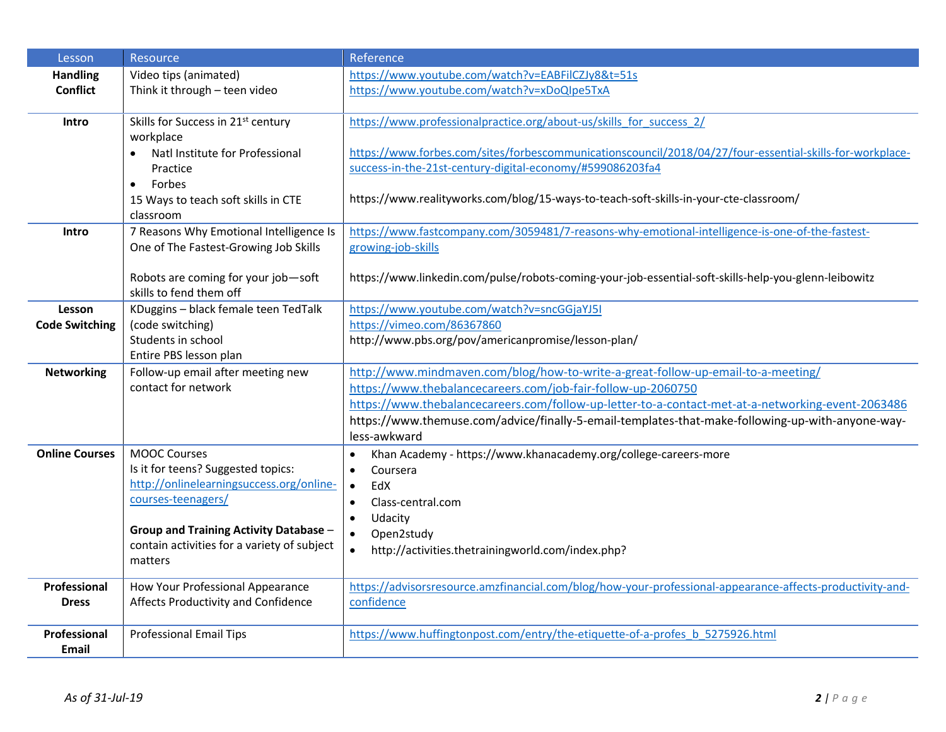| Lesson                | Resource                                       | Reference                                                                                                 |
|-----------------------|------------------------------------------------|-----------------------------------------------------------------------------------------------------------|
| <b>Handling</b>       | Video tips (animated)                          | https://www.youtube.com/watch?v=EABFilCZJy8&t=51s                                                         |
| <b>Conflict</b>       | Think it through - teen video                  | https://www.youtube.com/watch?v=xDoQIpe5TxA                                                               |
|                       |                                                |                                                                                                           |
| Intro                 | Skills for Success in 21 <sup>st</sup> century | https://www.professionalpractice.org/about-us/skills for success 2/                                       |
|                       | workplace                                      |                                                                                                           |
|                       | Natl Institute for Professional                | https://www.forbes.com/sites/forbescommunicationscouncil/2018/04/27/four-essential-skills-for-workplace-  |
|                       | Practice                                       | success-in-the-21st-century-digital-economy/#599086203fa4                                                 |
|                       | Forbes<br>$\bullet$                            |                                                                                                           |
|                       | 15 Ways to teach soft skills in CTE            | https://www.realityworks.com/blog/15-ways-to-teach-soft-skills-in-your-cte-classroom/                     |
|                       | classroom                                      |                                                                                                           |
| Intro                 | 7 Reasons Why Emotional Intelligence Is        | https://www.fastcompany.com/3059481/7-reasons-why-emotional-intelligence-is-one-of-the-fastest-           |
|                       | One of The Fastest-Growing Job Skills          | growing-job-skills                                                                                        |
|                       |                                                |                                                                                                           |
|                       | Robots are coming for your job-soft            | https://www.linkedin.com/pulse/robots-coming-your-job-essential-soft-skills-help-you-glenn-leibowitz      |
|                       | skills to fend them off                        |                                                                                                           |
| Lesson                | KDuggins - black female teen TedTalk           | https://www.youtube.com/watch?v=sncGGjaYJ5I                                                               |
| <b>Code Switching</b> | (code switching)                               | https://vimeo.com/86367860                                                                                |
|                       | Students in school                             | http://www.pbs.org/pov/americanpromise/lesson-plan/                                                       |
|                       | Entire PBS lesson plan                         |                                                                                                           |
| <b>Networking</b>     | Follow-up email after meeting new              | http://www.mindmaven.com/blog/how-to-write-a-great-follow-up-email-to-a-meeting/                          |
|                       | contact for network                            | https://www.thebalancecareers.com/job-fair-follow-up-2060750                                              |
|                       |                                                | https://www.thebalancecareers.com/follow-up-letter-to-a-contact-met-at-a-networking-event-2063486         |
|                       |                                                | https://www.themuse.com/advice/finally-5-email-templates-that-make-following-up-with-anyone-way-          |
|                       |                                                | less-awkward                                                                                              |
| <b>Online Courses</b> | <b>MOOC Courses</b>                            | Khan Academy - https://www.khanacademy.org/college-careers-more<br>$\bullet$                              |
|                       | Is it for teens? Suggested topics:             | Coursera<br>$\bullet$                                                                                     |
|                       | http://onlinelearningsuccess.org/online-       | EdX<br>$\bullet$                                                                                          |
|                       | courses-teenagers/                             | Class-central.com<br>$\bullet$                                                                            |
|                       |                                                | Udacity<br>$\bullet$                                                                                      |
|                       | <b>Group and Training Activity Database -</b>  | $\bullet$<br>Open2study                                                                                   |
|                       | contain activities for a variety of subject    | http://activities.thetrainingworld.com/index.php?<br>$\bullet$                                            |
|                       | matters                                        |                                                                                                           |
| <b>Professional</b>   | How Your Professional Appearance               | https://advisorsresource.amzfinancial.com/blog/how-your-professional-appearance-affects-productivity-and- |
| <b>Dress</b>          | Affects Productivity and Confidence            | confidence                                                                                                |
|                       |                                                |                                                                                                           |
| Professional          | <b>Professional Email Tips</b>                 | https://www.huffingtonpost.com/entry/the-etiquette-of-a-profes_b_5275926.html                             |
| Email                 |                                                |                                                                                                           |